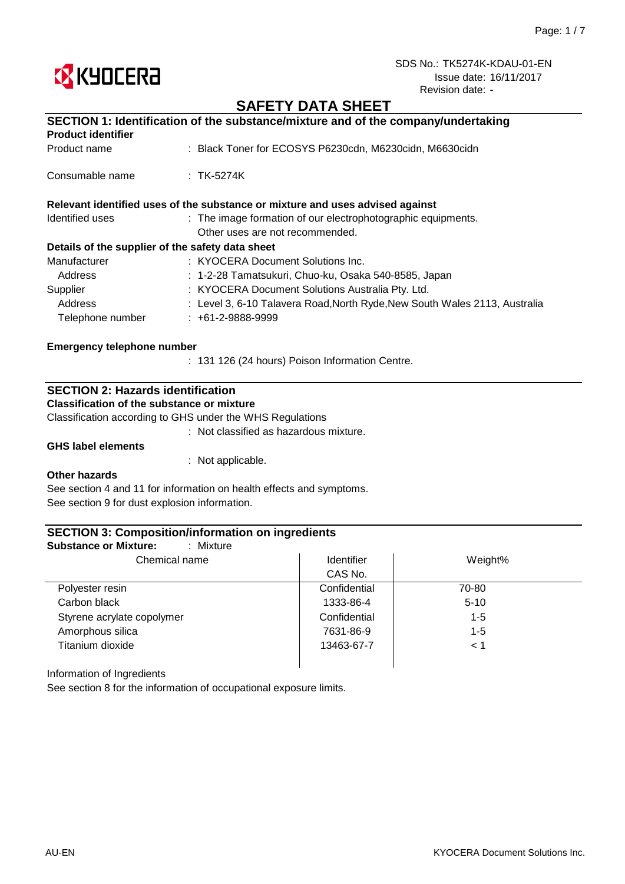

## **SAFETY DATA SHEET**

|                                                  | SECTION 1: Identification of the substance/mixture and of the company/undertaking |
|--------------------------------------------------|-----------------------------------------------------------------------------------|
| <b>Product identifier</b>                        |                                                                                   |
| Product name                                     | : Black Toner for ECOSYS P6230cdn, M6230cidn, M6630cidn                           |
| Consumable name                                  | $:$ TK-5274K                                                                      |
|                                                  | Relevant identified uses of the substance or mixture and uses advised against     |
| Identified uses                                  | : The image formation of our electrophotographic equipments.                      |
|                                                  | Other uses are not recommended.                                                   |
| Details of the supplier of the safety data sheet |                                                                                   |
| Manufacturer                                     | : KYOCERA Document Solutions Inc.                                                 |
| Address                                          | : 1-2-28 Tamatsukuri, Chuo-ku, Osaka 540-8585, Japan                              |
| Supplier                                         | : KYOCERA Document Solutions Australia Pty. Ltd.                                  |
| Address                                          | : Level 3, 6-10 Talavera Road, North Ryde, New South Wales 2113, Australia        |
| Telephone number                                 | $: +61-2-9888-9999$                                                               |
| <b>Emergency telephone number</b>                |                                                                                   |
|                                                  | : 131 126 (24 hours) Poison Information Centre.                                   |

## **SECTION 2: Hazards identification**

**Classification of the substance or mixture**

Classification according to GHS under the WHS Regulations

: Not classified as hazardous mixture.

**GHS label elements**

: Not applicable.

#### **Other hazards**

See section 4 and 11 for information on health effects and symptoms. See section 9 for dust explosion information.

### **SECTION 3: Composition/information on ingredients**

| Chemical name              | <b>Identifier</b> | Weight%  |
|----------------------------|-------------------|----------|
|                            | CAS No.           |          |
| Polyester resin            | Confidential      | 70-80    |
| Carbon black               | 1333-86-4         | $5 - 10$ |
| Styrene acrylate copolymer | Confidential      | $1 - 5$  |
| Amorphous silica           | 7631-86-9         | $1 - 5$  |
| Titanium dioxide           | 13463-67-7        | < 1      |

Information of Ingredients

See section 8 for the information of occupational exposure limits.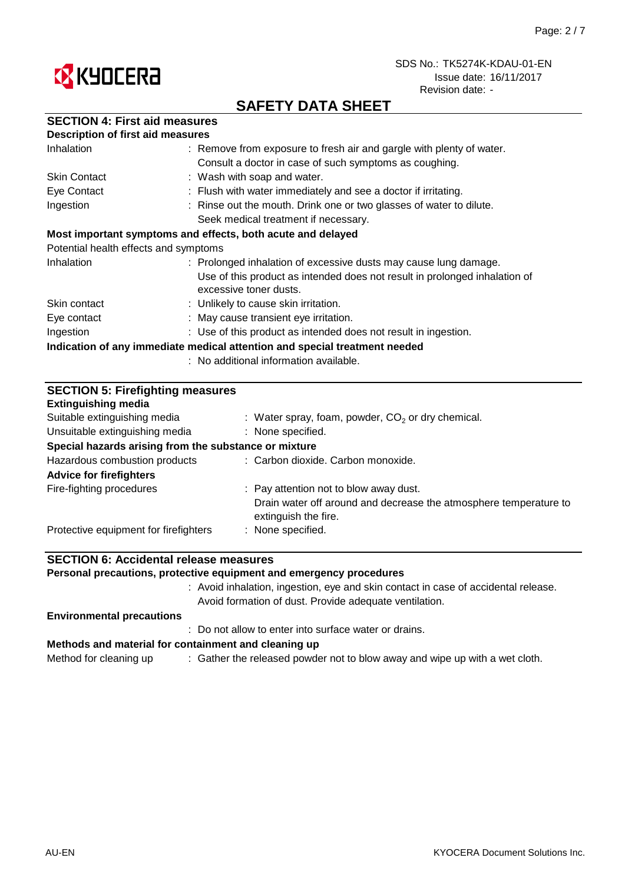



# **SAFETY DATA SHEET**

| <b>SECTION 4: First aid measures</b> |  |  |  |
|--------------------------------------|--|--|--|
|--------------------------------------|--|--|--|

| <b>Description of first aid measures</b> |                                                                                                      |
|------------------------------------------|------------------------------------------------------------------------------------------------------|
| Inhalation                               | : Remove from exposure to fresh air and gargle with plenty of water.                                 |
|                                          | Consult a doctor in case of such symptoms as coughing.                                               |
| <b>Skin Contact</b>                      | : Wash with soap and water.                                                                          |
| Eye Contact                              | : Flush with water immediately and see a doctor if irritating.                                       |
| Ingestion                                | : Rinse out the mouth. Drink one or two glasses of water to dilute.                                  |
|                                          | Seek medical treatment if necessary.                                                                 |
|                                          | Most important symptoms and effects, both acute and delayed                                          |
| Potential health effects and symptoms    |                                                                                                      |
| Inhalation                               | : Prolonged inhalation of excessive dusts may cause lung damage.                                     |
|                                          | Use of this product as intended does not result in prolonged inhalation of<br>excessive toner dusts. |
| Skin contact                             | : Unlikely to cause skin irritation.                                                                 |
| Eye contact                              | : May cause transient eye irritation.                                                                |
| Ingestion                                | : Use of this product as intended does not result in ingestion.                                      |
|                                          | Indication of any immediate medical attention and special treatment needed                           |
|                                          | : No additional information available.                                                               |

| <b>SECTION 5: Firefighting measures</b><br><b>Extinguishing media</b> |                                                                                           |  |  |
|-----------------------------------------------------------------------|-------------------------------------------------------------------------------------------|--|--|
| Suitable extinguishing media                                          | : Water spray, foam, powder, $CO2$ or dry chemical.                                       |  |  |
| Unsuitable extinguishing media                                        | : None specified.                                                                         |  |  |
| Special hazards arising from the substance or mixture                 |                                                                                           |  |  |
| Hazardous combustion products                                         | : Carbon dioxide. Carbon monoxide.                                                        |  |  |
| <b>Advice for firefighters</b>                                        |                                                                                           |  |  |
| Fire-fighting procedures                                              | : Pay attention not to blow away dust.                                                    |  |  |
|                                                                       | Drain water off around and decrease the atmosphere temperature to<br>extinguish the fire. |  |  |
| Protective equipment for firefighters                                 | : None specified.                                                                         |  |  |

## **SECTION 6: Accidental release measures**

**Personal precautions, protective equipment and emergency procedures**

: Avoid inhalation, ingestion, eye and skin contact in case of accidental release. Avoid formation of dust. Provide adequate ventilation.

#### **Environmental precautions**

: Do not allow to enter into surface water or drains.

#### **Methods and material for containment and cleaning up**

Method for cleaning up  $\qquad \qquad :$  Gather the released powder not to blow away and wipe up with a wet cloth.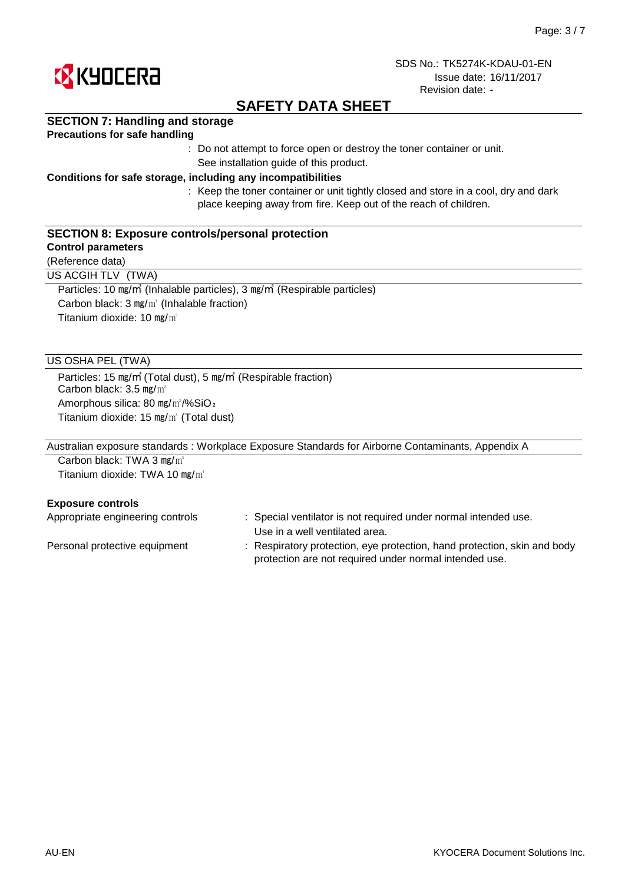

# **SAFETY DATA SHEET**

### **SECTION 7: Handling and storage**

### **Precautions for safe handling**

: Do not attempt to force open or destroy the toner container or unit. See installation guide of this product.

#### **Conditions for safe storage, including any incompatibilities**

: Keep the toner container or unit tightly closed and store in a cool, dry and dark place keeping away from fire. Keep out of the reach of children.

### **SECTION 8: Exposure controls/personal protection**

### **Control parameters**

(Reference data)

US ACGIH TLV (TWA)

Particles: 10 ㎎/㎥ (Inhalable particles), 3 ㎎/㎥ (Respirable particles) Carbon black: 3 ㎎/㎥ (Inhalable fraction) Titanium dioxide: 10 mg/m<sup>3</sup>

### US OSHA PEL (TWA)

Particles: 15 ㎎/㎥ (Total dust), 5 ㎎/㎥ (Respirable fraction) Carbon black: 3.5 mg/m<sup>3</sup> Amorphous silica: 80 mg/m<sup>3</sup>/%SiO<sub>2</sub> Titanium dioxide: 15 ㎎/㎥ (Total dust)

Australian exposure standards : Workplace Exposure Standards for Airborne Contaminants, Appendix A

Carbon black: TWA 3 mg/m<sup>3</sup> Titanium dioxide: TWA 10  $mg/m<sup>3</sup>$ 

#### **Exposure controls**

| Appropriate engineering controls | : Special ventilator is not required under normal intended use.          |
|----------------------------------|--------------------------------------------------------------------------|
|                                  | Use in a well ventilated area.                                           |
| Personal protective equipment    | : Respiratory protection, eye protection, hand protection, skin and body |
|                                  | protection are not required under normal intended use.                   |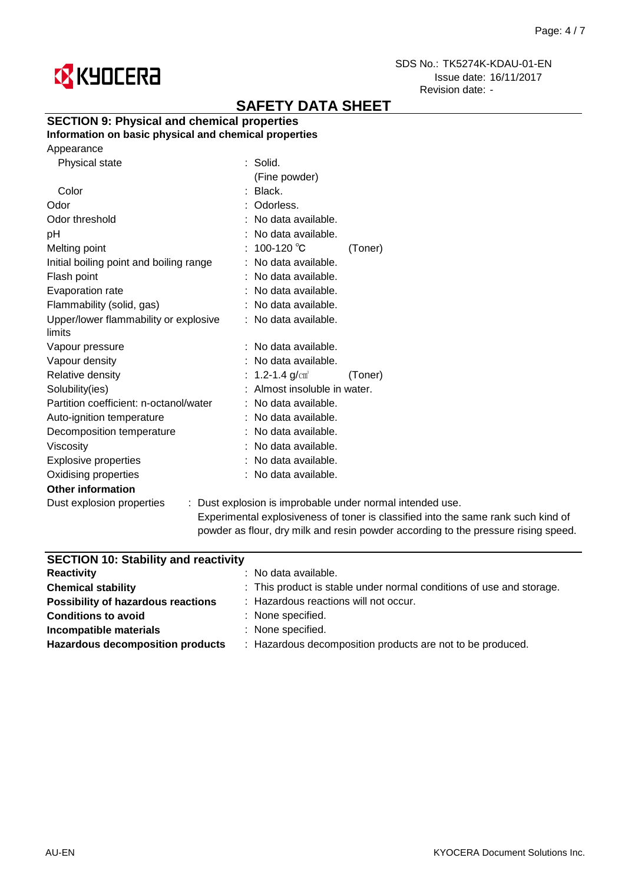

# **SAFETY DATA SHEET**

## **SECTION 9: Physical and chemical properties**

**Information on basic physical and chemical properties**

| Physical state                          | : Solid.                                                  |
|-----------------------------------------|-----------------------------------------------------------|
|                                         | (Fine powder)                                             |
| Color                                   | : Black.                                                  |
| Odor                                    | Odorless.                                                 |
| Odor threshold                          | : No data available.                                      |
| pH                                      | : No data available.                                      |
| Melting point                           | : $100-120$ °C<br>(Toner)                                 |
| Initial boiling point and boiling range | : No data available.                                      |
| Flash point                             | : No data available.                                      |
| Evaporation rate                        | : No data available.                                      |
| Flammability (solid, gas)               | : No data available.                                      |
| Upper/lower flammability or explosive   | : No data available.                                      |
| limits                                  |                                                           |
| Vapour pressure                         | $:$ No data available.                                    |
| Vapour density                          | : No data available.                                      |
| Relative density                        | 1.2-1.4 $g/cm^{3}$<br>(Toner)                             |
| Solubility(ies)                         | : Almost insoluble in water.                              |
| Partition coefficient: n-octanol/water  | : No data available.                                      |
| Auto-ignition temperature               | : No data available.                                      |
| Decomposition temperature               | : No data available.                                      |
| <b>Viscosity</b>                        | : No data available.                                      |
| Explosive properties                    | : No data available.                                      |
| Oxidising properties                    | : No data available.                                      |
| <b>Other information</b>                |                                                           |
| Dust explosion properties               | : Dust explosion is improbable under normal intended use. |
|                                         |                                                           |

Experimental explosiveness of toner is classified into the same rank such kind of powder as flour, dry milk and resin powder according to the pressure rising speed.

| <b>SECTION 10: Stability and reactivity</b> |                                                                      |
|---------------------------------------------|----------------------------------------------------------------------|
| <b>Reactivity</b>                           | : No data available.                                                 |
| <b>Chemical stability</b>                   | : This product is stable under normal conditions of use and storage. |
| <b>Possibility of hazardous reactions</b>   | : Hazardous reactions will not occur.                                |
| <b>Conditions to avoid</b>                  | : None specified.                                                    |
| Incompatible materials                      | : None specified.                                                    |
| <b>Hazardous decomposition products</b>     | : Hazardous decomposition products are not to be produced.           |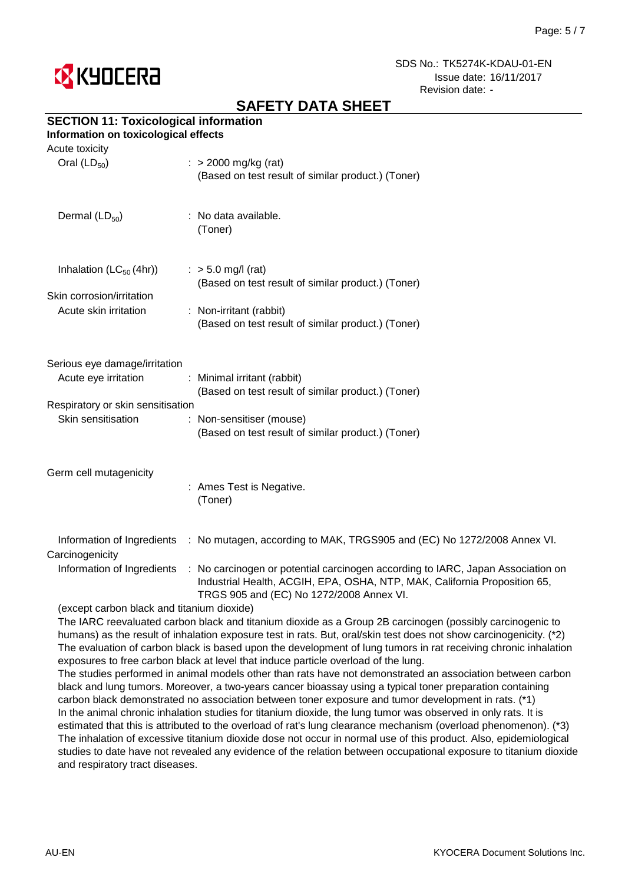

# **SAFETY DATA SHEET**

## **SECTION 11: Toxicological information**

### **Information on toxicological effects**

| Acute toxicity                                                                    |                                                                                                                                                                                                                                     |
|-----------------------------------------------------------------------------------|-------------------------------------------------------------------------------------------------------------------------------------------------------------------------------------------------------------------------------------|
| Oral $(LD_{50})$                                                                  | $:$ > 2000 mg/kg (rat)<br>(Based on test result of similar product.) (Toner)                                                                                                                                                        |
| Dermal $(LD_{50})$                                                                | : No data available.<br>(Toner)                                                                                                                                                                                                     |
| Inhalation $(LC_{50}(4hr))$<br>Skin corrosion/irritation<br>Acute skin irritation | $:$ > 5.0 mg/l (rat)<br>(Based on test result of similar product.) (Toner)<br>: Non-irritant (rabbit)<br>(Based on test result of similar product.) (Toner)                                                                         |
| Serious eye damage/irritation<br>Acute eye irritation                             | : Minimal irritant (rabbit)<br>(Based on test result of similar product.) (Toner)                                                                                                                                                   |
| Respiratory or skin sensitisation<br>Skin sensitisation                           | : Non-sensitiser (mouse)<br>(Based on test result of similar product.) (Toner)                                                                                                                                                      |
| Germ cell mutagenicity                                                            | : Ames Test is Negative.<br>(Toner)                                                                                                                                                                                                 |
| Carcinogenicity                                                                   | Information of Ingredients : No mutagen, according to MAK, TRGS905 and (EC) No 1272/2008 Annex VI.                                                                                                                                  |
|                                                                                   | Information of Ingredients : No carcinogen or potential carcinogen according to IARC, Japan Association on<br>Industrial Health, ACGIH, EPA, OSHA, NTP, MAK, California Proposition 65,<br>TRGS 905 and (EC) No 1272/2008 Annex VI. |
| (except carbon black and titanium dioxide)                                        |                                                                                                                                                                                                                                     |
|                                                                                   | The IARC reevaluated carbon black and titanium dioxide as a Group 2B carcinogen (possibly carcinogenic to                                                                                                                           |

humans) as the result of inhalation exposure test in rats. But, oral/skin test does not show carcinogenicity. (\*2) The evaluation of carbon black is based upon the development of lung tumors in rat receiving chronic inhalation exposures to free carbon black at level that induce particle overload of the lung.

The studies performed in animal models other than rats have not demonstrated an association between carbon black and lung tumors. Moreover, a two-years cancer bioassay using a typical toner preparation containing carbon black demonstrated no association between toner exposure and tumor development in rats. (\*1) In the animal chronic inhalation studies for titanium dioxide, the lung tumor was observed in only rats. It is estimated that this is attributed to the overload of rat's lung clearance mechanism (overload phenomenon). (\*3) The inhalation of excessive titanium dioxide dose not occur in normal use of this product. Also, epidemiological studies to date have not revealed any evidence of the relation between occupational exposure to titanium dioxide and respiratory tract diseases.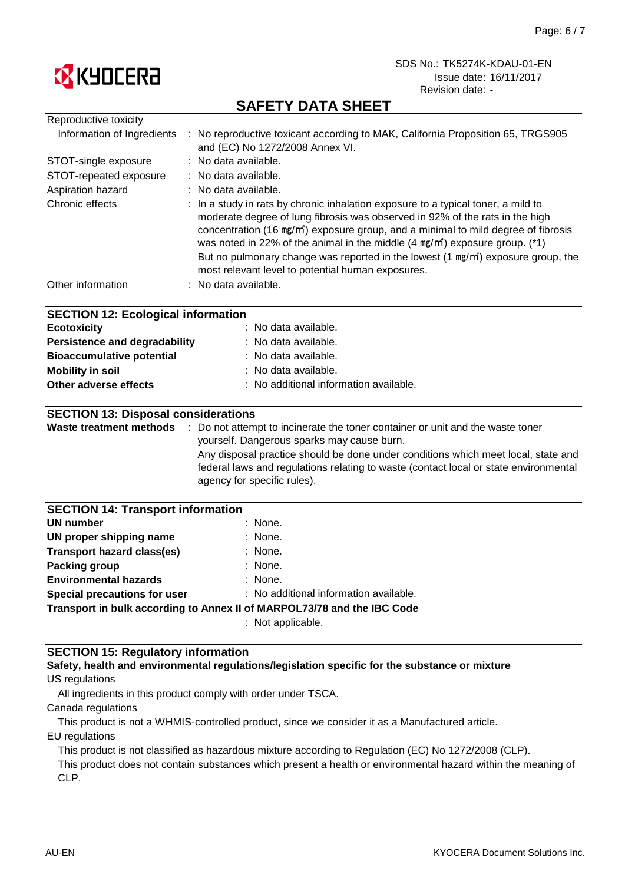

# **SAFETY DATA SHEET**

| Reproductive toxicity                                                        |                                                                                                                                                                                                                                                                                                                                                                                                                                                                                                                     |
|------------------------------------------------------------------------------|---------------------------------------------------------------------------------------------------------------------------------------------------------------------------------------------------------------------------------------------------------------------------------------------------------------------------------------------------------------------------------------------------------------------------------------------------------------------------------------------------------------------|
| Information of Ingredients                                                   | : No reproductive toxicant according to MAK, California Proposition 65, TRGS905<br>and (EC) No 1272/2008 Annex VI.                                                                                                                                                                                                                                                                                                                                                                                                  |
| STOT-single exposure                                                         | : No data available.                                                                                                                                                                                                                                                                                                                                                                                                                                                                                                |
| STOT-repeated exposure                                                       | : No data available.                                                                                                                                                                                                                                                                                                                                                                                                                                                                                                |
| Aspiration hazard                                                            | No data available.                                                                                                                                                                                                                                                                                                                                                                                                                                                                                                  |
| Chronic effects                                                              | : In a study in rats by chronic inhalation exposure to a typical toner, a mild to<br>moderate degree of lung fibrosis was observed in 92% of the rats in the high<br>concentration (16 mg/m <sup>2</sup> ) exposure group, and a minimal to mild degree of fibrosis<br>was noted in 22% of the animal in the middle $(4 \text{ mg/m}^3)$ exposure group. (*1)<br>But no pulmonary change was reported in the lowest (1 mg/m <sup>3</sup> ) exposure group, the<br>most relevant level to potential human exposures. |
| Other information                                                            | : No data available.                                                                                                                                                                                                                                                                                                                                                                                                                                                                                                |
|                                                                              |                                                                                                                                                                                                                                                                                                                                                                                                                                                                                                                     |
| <b>SECTION 12: Ecological information</b>                                    |                                                                                                                                                                                                                                                                                                                                                                                                                                                                                                                     |
| <b>Ecotoxicity</b>                                                           | No data available.                                                                                                                                                                                                                                                                                                                                                                                                                                                                                                  |
| <b>Persistence and degradability</b>                                         | No data available.                                                                                                                                                                                                                                                                                                                                                                                                                                                                                                  |
| <b>Bioaccumulative potential</b>                                             | No data available.                                                                                                                                                                                                                                                                                                                                                                                                                                                                                                  |
| <b>Mobility in soil</b>                                                      | No data available.                                                                                                                                                                                                                                                                                                                                                                                                                                                                                                  |
| Other adverse effects                                                        | No additional information available.                                                                                                                                                                                                                                                                                                                                                                                                                                                                                |
|                                                                              |                                                                                                                                                                                                                                                                                                                                                                                                                                                                                                                     |
| <b>SECTION 13: Disposal considerations</b><br><b>Waste treatment methods</b> | : Do not attempt to incinerate the toner container or unit and the waste toner                                                                                                                                                                                                                                                                                                                                                                                                                                      |
|                                                                              | yourself. Dangerous sparks may cause burn.                                                                                                                                                                                                                                                                                                                                                                                                                                                                          |
|                                                                              | Any disposal practice should be done under conditions which meet local, state and                                                                                                                                                                                                                                                                                                                                                                                                                                   |
|                                                                              | federal laws and regulations relating to waste (contact local or state environmental                                                                                                                                                                                                                                                                                                                                                                                                                                |
|                                                                              | agency for specific rules).                                                                                                                                                                                                                                                                                                                                                                                                                                                                                         |
|                                                                              |                                                                                                                                                                                                                                                                                                                                                                                                                                                                                                                     |
| <b>SECTION 14: Transport information</b>                                     |                                                                                                                                                                                                                                                                                                                                                                                                                                                                                                                     |
| UN number                                                                    | None.                                                                                                                                                                                                                                                                                                                                                                                                                                                                                                               |
| UN proper shipping name                                                      | None.                                                                                                                                                                                                                                                                                                                                                                                                                                                                                                               |
| <b>Transport hazard class(es)</b>                                            | None.                                                                                                                                                                                                                                                                                                                                                                                                                                                                                                               |
| <b>Packing group</b>                                                         | None.                                                                                                                                                                                                                                                                                                                                                                                                                                                                                                               |
| <b>Environmental hazards</b>                                                 | None.                                                                                                                                                                                                                                                                                                                                                                                                                                                                                                               |
| Special precautions for user                                                 | : No additional information available.                                                                                                                                                                                                                                                                                                                                                                                                                                                                              |
|                                                                              | Transport in bulk according to Annex II of MARPOL73/78 and the IBC Code                                                                                                                                                                                                                                                                                                                                                                                                                                             |
|                                                                              | : Not applicable.                                                                                                                                                                                                                                                                                                                                                                                                                                                                                                   |

### **SECTION 15: Regulatory information**

US regulations **Safety, health and environmental regulations/legislation specific for the substance or mixture**

All ingredients in this product comply with order under TSCA.

Canada regulations

This product is not a WHMIS-controlled product, since we consider it as a Manufactured article.

EU regulations

This product is not classified as hazardous mixture according to Regulation (EC) No 1272/2008 (CLP).

This product does not contain substances which present a health or environmental hazard within the meaning of CLP.